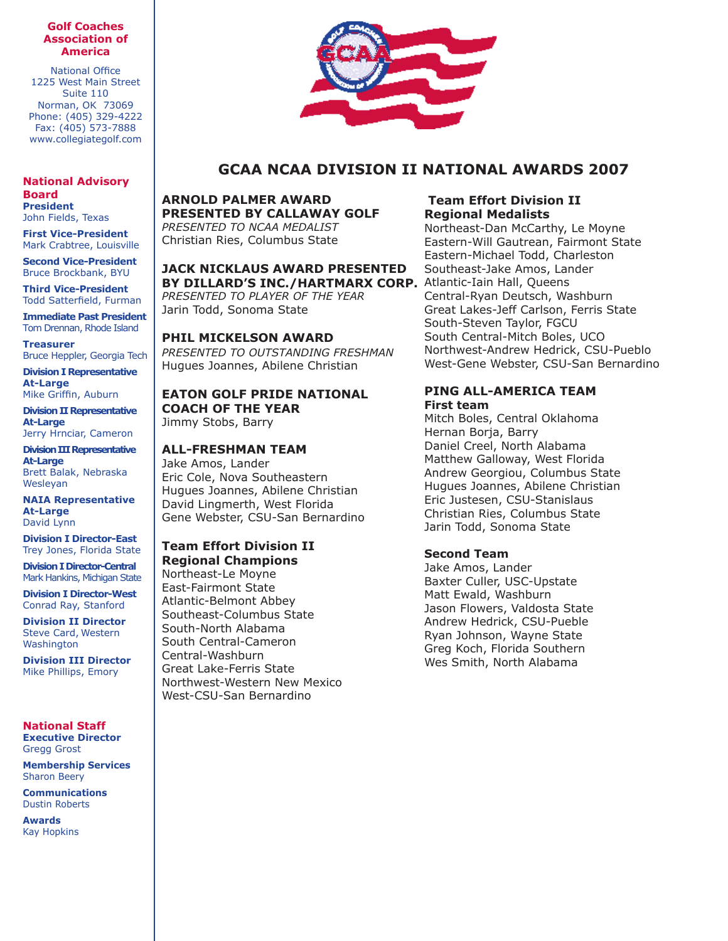#### **Golf Coaches Association of America**

National Office 1225 West Main Street Suite 110 Norman, OK 73069 Phone: (405) 329-4222 Fax: (405) 573-7888 www.collegiategolf.com

**National Advisory Board President**

John Fields, Texas **First Vice-President**

Mark Crabtree, Louisville **Second Vice-President** Bruce Brockbank, BYU

**Third Vice-President** Todd Satterfield, Furman

**Immediate Past President** Tom Drennan, Rhode Island

**Treasurer** Bruce Heppler, Georgia Tech

**Division I Representative At-Large** Mike Griffin, Auburn

**Division II Representative At-Large** Jerry Hrnciar, Cameron

**Division III Representative At-Large** Brett Balak, Nebraska Wesleyan

**NAIA Representative At-Large** David Lynn

**Division I Director-East** Trey Jones, Florida State

**Division I Director-Central** Mark Hankins, Michigan State

**Division I Director-West** Conrad Ray, Stanford

**Division II Director** Steve Card, Western Washington

**Division III Director** Mike Phillips, Emory

### **National Staff Executive Director**

Gregg Grost **Membership Services** Sharon Beery

**Communications** Dustin Roberts

**Awards** Kay Hopkins



# **GCAA NCAA DIVISION II NATIONAL AWARDS 2007**

**ARNOLD PALMER AWARD PRESENTED BY CALLAWAY GOLF** *PRESENTED TO NCAA MEDALIST* Christian Ries, Columbus State

## **JACK NICKLAUS AWARD PRESENTED**  BY DILLARD'S INC./HARTMARX CORP. Atlantic-Iain Hall, Queens

*PRESENTED TO PLAYER OF THE YEAR*  Jarin Todd, Sonoma State

### **PHIL MICKELSON AWARD**

*PRESENTED TO OUTSTANDING FRESHMAN* Hugues Joannes, Abilene Christian

### **EATON GOLF PRIDE NATIONAL COACH OF THE YEAR**

Jimmy Stobs, Barry

# **ALL-FRESHMAN TEAM**

Jake Amos, Lander Eric Cole, Nova Southeastern Hugues Joannes, Abilene Christian David Lingmerth, West Florida Gene Webster, CSU-San Bernardino

#### **Team Effort Division II Regional Champions**

Northeast-Le Moyne East-Fairmont State Atlantic-Belmont Abbey Southeast-Columbus State South-North Alabama South Central-Cameron Central-Washburn Great Lake-Ferris State Northwest-Western New Mexico West-CSU-San Bernardino

# **Team Effort Division II Regional Medalists**

Northeast-Dan McCarthy, Le Moyne Eastern-Will Gautrean, Fairmont State Eastern-Michael Todd, Charleston Southeast-Jake Amos, Lander Central-Ryan Deutsch, Washburn Great Lakes-Jeff Carlson, Ferris State South-Steven Taylor, FGCU South Central-Mitch Boles, UCO Northwest-Andrew Hedrick, CSU-Pueblo West-Gene Webster, CSU-San Bernardino

### **PING ALL-AMERICA TEAM First team**

Mitch Boles, Central Oklahoma Hernan Borja, Barry Daniel Creel, North Alabama Matthew Galloway, West Florida Andrew Georgiou, Columbus State Hugues Joannes, Abilene Christian Eric Justesen, CSU-Stanislaus Christian Ries, Columbus State Jarin Todd, Sonoma State

# **Second Team**

Jake Amos, Lander Baxter Culler, USC-Upstate Matt Ewald, Washburn Jason Flowers, Valdosta State Andrew Hedrick, CSU-Pueble Ryan Johnson, Wayne State Greg Koch, Florida Southern Wes Smith, North Alabama